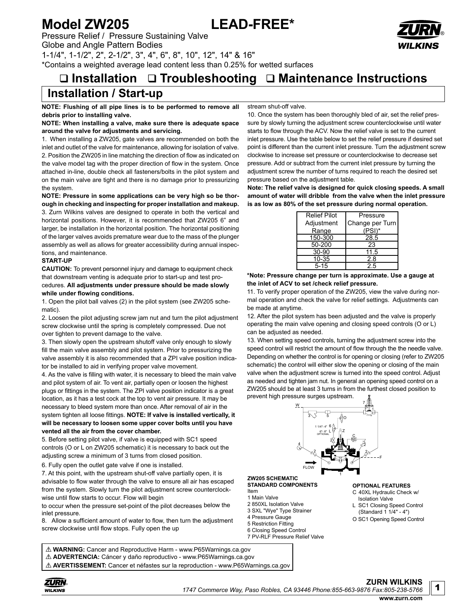# **Model ZW205 LEAD-FREE\***

Pressure Relief / Pressure Sustaining Valve Globe and Angle Pattern Bodies 1-1/4", 1-1/2", 2", 2-1/2", 3", 4", 6", 8", 10", 12", 14" & 16" \*Contains a weighted average lead content less than 0.25% for wetted surfaces

# **Installation Troubleshooting Maintenance Instructions**

## **Installation / Start-up**

**NOTE: Flushing of all pipe lines is to be performed to remove all debris prior to installing valve.**

## **NOTE: When installing a valve, make sure there is adequate space around the valve for adjustments and servicing.**

1. When installing a ZW205, gate valves are recommended on both the inlet and outlet of the valve for maintenance, allowing for isolation of valve. 2. Position the ZW205 in line matching the direction of flow as indicated on the valve model tag with the proper direction of flow in the system. Once attached in-line, double check all fasteners/bolts in the pilot system and on the main valve are tight and there is no damage prior to pressurizing the system.

**NOTE: Pressure in some applications can be very high so be thorough in checking and inspecting for proper installation and makeup.** 3. Zurn Wilkins valves are designed to operate in both the vertical and horizontal positions. However, it is recommended that ZW205 6" and larger, be installation in the horizontal position. The horizontal positioning of the larger valves avoids premature wear due to the mass of the plunger assembly as well as allows for greater accessibility during annual inspections, and maintenance.

## **START-UP**

**CAUTION:** To prevent personnel injury and damage to equipment check that downstream venting is adequate prior to start-up and test procedures. **All adjustments under pressure should be made slowly while under flowing conditions.**

1. Open the pilot ball valves (2) in the pilot system (see ZW205 schematic).

2. Loosen the pilot adjusting screw jam nut and turn the pilot adjustment screw clockwise until the spring is completely compressed. Due not over tighten to prevent damage to the valve.

3. Then slowly open the upstream shutoff valve only enough to slowly fill the main valve assembly and pilot system. Prior to pressurizing the valve assembly it is also recommended that a ZPI valve position indicator be installed to aid in verifying proper valve movement.

4. As the valve is filling with water, it is necessary to bleed the main valve and pilot system of air. To vent air, partially open or loosen the highest plugs or fittings in the system. The ZPI valve position indicator is a great location, as it has a test cock at the top to vent air pressure. It may be necessary to bleed system more than once. After removal of air in the system tighten all loose fittings. **NOTE: If valve is installed vertically, it will be necessary to loosen some upper cover bolts until you have vented all the air from the cover chamber.**

5. Before setting pilot valve, if valve is equipped with SC1 speed controls (O or L on ZW205 schematic) it is necessary to back out the adjusting screw a minimum of 3 turns from closed position.

6. Fully open the outlet gate valve if one is installed.

7. At this point, with the upstream shut-off valve partially open, it is advisable to flow water through the valve to ensure all air has escaped from the system. Slowly turn the pilot adjustment screw counterclockwise until flow starts to occur. Flow will begin

to occur when the pressure set-point of the pilot decreases below the inlet pressure.

8. Allow a sufficient amount of water to flow, then turn the adjustment screw clockwise until flow stops. Fully open the up

stream shut-off valve.

10. Once the system has been thoroughly bled of air, set the relief pressure by slowly turning the adjustment screw counterclockwise until water starts to flow through the ACV. Now the relief valve is set to the current inlet pressure. Use the table below to set the relief pressure if desired set point is different than the current inlet pressure. Turn the adjustment screw clockwise to increase set pressure or counterclockwise to decrease set pressure. Add or subtract from the current inlet pressure by turning the adjustment screw the number of turns required to reach the desired set pressure based on the adjustment table.

**Note: The relief valve is designed for quick closing speeds. A small amount of water will dribble from the valve when the inlet pressure is as low as 80% of the set pressure during normal operation.**

| <b>Relief Pilot</b> | Pressure        |
|---------------------|-----------------|
| Adjustment          | Change per Turn |
| Range               | (PSI)*          |
| 150-300             | 28.5            |
| 50-200              | 23              |
| 30-90               | 11.5            |
| 10-35               | 28              |
| $5 - 15$            | 25              |

### **\*Note: Pressure change per turn is approximate. Use a gauge at the inlet of ACV to set /check relief pressure.**

11. To verify proper operation of the ZW205, view the valve during normal operation and check the valve for relief settings. Adjustments can be made at anytime.

12. After the pilot system has been adjusted and the valve is properly operating the main valve opening and closing speed controls (O or L) can be adjusted as needed.

13. When setting speed controls, turning the adjustment screw into the speed control will restrict the amount of flow through the the needle valve. Depending on whether the control is for opening or closing (refer to ZW205 schematic) the control will either slow the opening or closing of the main valve when the adjustment screw is turned into the speed control. Adjust as needed and tighten jam nut. In general an opening speed control on a ZW205 should be at least 3 turns in from the furthest closed position to prevent high pressure surges upstream.



### **ZW205 SCHEMATIC STANDARD COMPONENTS**

Item 1 Main Valve

- 2 850XL Isolation Valve
- 3 SXL "Wye" Type Strainer
- 4 Pressure Gauge
- 5 Restriction Fitting
- 6 Closing Speed Control
- 7 PV-RLF Pressure Relief Valve

**OPTIONAL FEATURES**

- C 40XL Hydraulic Check w/ Isolation Valve
- SC1 Closing Speed Control
- (Standard 1 1/4" 4")
- O SC1 Opening Speed Control

! **WARNING:** Cancer and Reproductive Harm - www.P65Warnings.ca.gov ! **ADVERTENCIA:** Cáncer y daño reproductivo - www.P65Warnings.ca.gov ! **AVERTISSEMENT:** Cancer et néfastes sur la reproduction - www.P65Warnings.ca.gov

**ZURN WILKINS**



1

®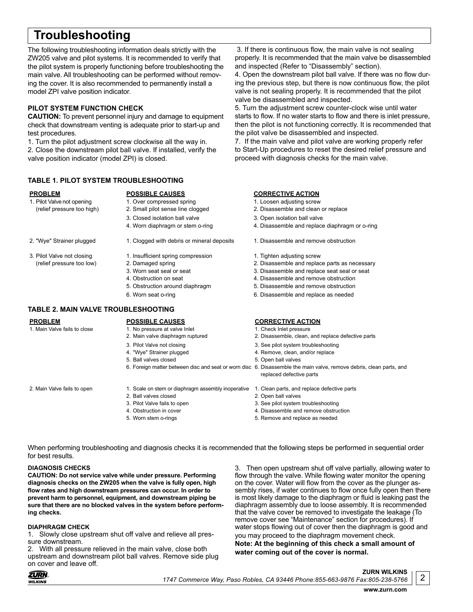# **Troubleshooting**

The following troubleshooting information deals strictly with the ZW205 valve and pilot systems. It is recommended to verify that the pilot system is properly functioning before troubleshooting the main valve. All troubleshooting can be performed without removing the cover. It is also recommended to permanently install a model ZPI valve position indicator.

## **PILOT SYSTEM FUNCTION CHECK**

**CAUTION:** To prevent personnel injury and damage to equipment check that downstream venting is adequate prior to start-up and test procedures.

1. Turn the pilot adjustment screw clockwise all the way in. 2. Close the downstream pilot ball valve. If installed, verify the valve position indicator (model ZPI) is closed.

## **TABLE 1. PILOT SYSTEM TROUBLESHOOTING**

- 
- 1. Pilot Valve not opening 1. Over compressed spring 1. Loosen adjusting screw<br>(relief pressure too high) 2. Small pilot sense line clogged 2. Disassemble and clean
	- 3. Closed isolation ball valve 3. Open isolation ball valve
	-
- 
- 
- 
- 3. Pilot Valve not closing 1. Insufficient spring compression 1. Tighten adjusting screw
	-
	-
	-
	-

## **TABLE 2. MAIN VALVE TROUBLESHOOTING**

- 
- 
- 
- 
- 5. Ball valves closed 5. Open ball valves
- 

- 2. Main Valve fails to open 1. Scale on stem or diaphragm assembly inoperative 1. Clean parts, and replace defective parts
	- 2. Ball valves closed 2. Open ball valves
	-
	-
	-

 3. If there is continuous flow, the main valve is not sealing properly. It is recommended that the main valve be disassembled and inspected (Refer to "Disassembly" section).

4. Open the downstream pilot ball valve. If there was no flow during the previous step, but there is now continuous flow, the pilot valve is not sealing properly. It is recommended that the pilot valve be disassembled and inspected.

5. Turn the adjustment screw counter-clock wise until water starts to flow. If no water starts to flow and there is inlet pressure, then the pilot is not functioning correctly. It is recommended that the pilot valve be disassembled and inspected.

7. If the main valve and pilot valve are working properly refer to Start-Up procedures to reset the desired relief pressure and proceed with diagnosis checks for the main valve.

## **PROBLEM POSSIBLE CAUSES CORRECTIVE ACTION**

- 
- (relief pressure too high) 2. Small pilot sense line clogged 2. Disassemble and clean or replace
	-
	- 4. Worn diaphragm or stem o-ring 4. Disassemble and replace diaphragm or o-ring
- 2. "Wye" Strainer plugged 1. Clogged with debris or mineral deposits 1. Disassemble and remove obstruction
	-
	- (relief pressure too low) 2. Damaged spring 2. Disassemble and replace parts as necessary
		- 3. Worn seat seal or seat 3. Disassemble and replace seat seal or seat
		- 4. Obstruction on seat 4. Disassemble and remove obstruction
		- 5. Obstruction around diaphragm 5. Disassemble and remove obstruction
		- 6. Worn seat o-ring 6. Disassemble and replace as needed

- 
- 2. Main valve diaphragm ruptured 2. Disassemble, clean, and replace defective parts
- 3. Pilot Valve not closing 3. See pilot system troubleshooting
- 4. "Wye" Strainer plugged and the state of the 4. Remove, clean, and/or replace
	-
- 6. Foreign matter between disc and seat or worn disc 6. Disassemble the main valve, remove debris, clean parts, and replaced defective parts
	-
	-
- 3. Pilot Valve fails to open 3. See pilot system troubleshooting
- 4. Obstruction in cover **4. Disassemble and remove obstruction**
- 5. Worn stem o-rings 5. Remove and replace as needed

When performing troubleshooting and diagnosis checks it is recommended that the following steps be performed in sequential order for best results.

## **DIAGNOSIS CHECKS**

**CAUTION: Do not service valve while under pressure. Performing diagnosis checks on the ZW205 when the valve is fully open, high flow rates and high downstream pressures can occur. In order to prevent harm to personnel, equipment, and downstream piping be sure that there are no blocked valves in the system before performing checks.** 

## **DIAPHRAGM CHECK**

1. Slowly close upstream shut off valve and relieve all pressure downstream.

2. With all pressure relieved in the main valve, close both upstream and downstream pilot ball valves. Remove side plug on cover and leave off.

3. Then open upstream shut off valve partially, allowing water to flow through the valve. While flowing water monitor the opening on the cover. Water will flow from the cover as the plunger assembly rises, if water continues to flow once fully open then there is most likely damage to the diaphragm or fluid is leaking past the diaphragm assembly due to loose assembly. It is recommended that the valve cover be removed to investigate the leakage (To remove cover see "Maintenance" section for procedures). If water stops flowing out of cover then the diaphragm is good and you may proceed to the diaphragm movement check. **Note: At the beginning of this check a small amount of** 

## **water coming out of the cover is normal.**

*1747 Commerce Way, Paso Robles, CA 93446 Phone:855-663-9876 Fax:805-238-5766*

**ZURN WILKINS**

2

**www.zurn.com**

**ZURN WILKINS** 

- **PROBLEM POSSIBLE CAUSES CORRECTIVE ACTION** 1. Main Valve fails to close 1. No pressure at valve Inlet 1. Check Inlet pressure
	-
	-
	-
	-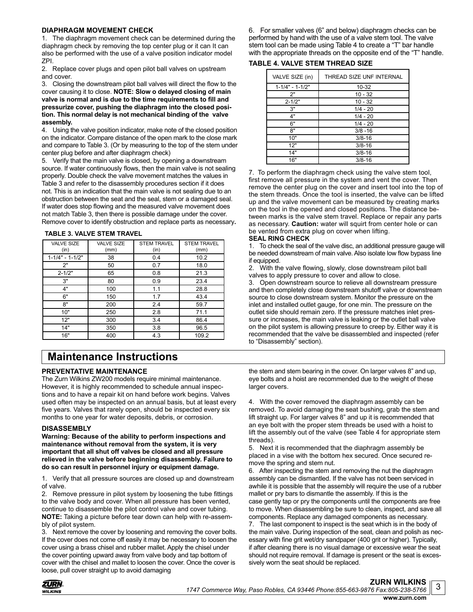## **DIAPHRAGM MOVEMENT CHECK**

1. The diaphragm movement check can be determined during the diaphragm check by removing the top center plug or it can It can also be performed with the use of a valve position indicator model ZPI.

2. Replace cover plugs and open pilot ball valves on upstream and cover.

3. Closing the downstream pilot ball valves will direct the flow to the cover causing it to close. **NOTE: Slow o delayed closing of main valve is normal and is due to the time requirements to fill and pressurize cover, pushing the diaphragm into the closed position. This normal delay is not mechanical binding of the valve assembly.** 

4. Using the valve position indicator, make note of the closed position on the indicator. Compare distance of the open mark to the close mark and compare to Table 3. (Or by measuring to the top of the stem under center plug before and after diaphragm check)

5. Verify that the main valve is closed, by opening a downstream source. If water continuously flows, then the main valve is not sealing properly. Double check the valve movement matches the values in Table 3 and refer to the disassembly procedures section if it does not. This is an indication that the main valve is not sealing due to an obstruction between the seat and the seal, stem or a damaged seal. If water does stop flowing and the measured valve movement does not match Table 3, then there is possible damage under the cover. Remove cover to identify obstruction and replace parts as necessary**.**

### **TABLE 3. VALVE STEM TRAVEL**

| <b>VALVE SIZE</b><br>(in) | <b>VALVE SIZE</b><br>(mm) | <b>STEM TRAVEL</b><br>(in) | <b>STEM TRAVEL</b><br>(mm) |
|---------------------------|---------------------------|----------------------------|----------------------------|
| $1 - 1/4" - 1 - 1/2"$     | 38                        | 0.4                        | 10.2                       |
| 2"                        | 50                        | 0.7                        | 18.0                       |
| $2 - 1/2"$                | 65                        | 0.8                        | 21.3                       |
| 3"                        | 80                        | 0.9                        | 23.4                       |
| 4"                        | 100                       | 1.1                        | 28.8                       |
| 6"                        | 150                       | 1.7                        | 43.4                       |
| 8"                        | 200                       | 2.4                        | 59.7                       |
| 10"                       | 250                       | 2.8                        | 71.1                       |
| 12"                       | 300                       | 3.4                        | 86.4                       |
| 14"                       | 350                       | 3.8                        | 96.5                       |
| 16"                       | 400                       | 4.3                        | 109.2                      |

## **Maintenance Instructions**

## **PREVENTATIVE MAINTENANCE**

The Zurn Wilkins ZW200 models require minimal maintenance. However, it is highly recommended to schedule annual inspections and to have a repair kit on hand before work begins. Valves used often may be inspected on an annual basis, but at least every five years. Valves that rarely open, should be inspected every six months to one year for water deposits, debris, or corrosion.

## **DISASSEMBLY**

**Warning: Because of the ability to perform inspections and maintenance without removal from the system, it is very important that all shut off valves be closed and all pressure relieved in the valve before beginning disassembly. Failure to do so can result in personnel injury or equipment damage.**

1. Verify that all pressure sources are closed up and downstream of valve.

2. Remove pressure in pilot system by loosening the tube fittings to the valve body and cover. When all pressure has been vented, continue to disassemble the pilot control valve and cover tubing. **NOTE:** Taking a picture before tear down can help with re-assembly of pilot system.

3. Next remove the cover by loosening and removing the cover bolts. If the cover does not come off easily it may be necessary to loosen the cover using a brass chisel and rubber mallet. Apply the chisel under the cover pointing upward away from valve body and tap bottom of cover with the chisel and mallet to loosen the cover. Once the cover is loose, pull cover straight up to avoid damaging

6. For smaller valves (6" and below) diaphragm checks can be performed by hand with the use of a valve stem tool. The valve stem tool can be made using Table 4 to create a "T" bar handle with the appropriate threads on the opposite end of the "T" handle.

## **TABLE 4. VALVE STEM THREAD SIZE**

| VALVE SIZE (in)       | THREAD SIZE UNF INTERNAL |
|-----------------------|--------------------------|
| $1 - 1/4" - 1 - 1/2"$ | 10-32                    |
| 2"                    | $10 - 32$                |
| $2 - 1/2"$            | $10 - 32$                |
| 3"                    | $1/4 - 20$               |
| 4"                    | $1/4 - 20$               |
| 6"                    | $1/4 - 20$               |
| 8"                    | $3/8 - 16$               |
| 10"                   | $3/8 - 16$               |
| 12"                   | $3/8 - 16$               |
| 14"                   | $3/8 - 16$               |
| 16"                   | $3/8 - 16$               |

7. To perform the diaphragm check using the valve stem tool, first remove all pressure in the system and vent the cover. Then remove the center plug on the cover and insert tool into the top of the stem threads. Once the tool is inserted, the valve can be lifted up and the valve movement can be measured by creating marks on the tool in the opened and closed positions. The distance between marks is the valve stem travel. Replace or repair any parts as necessary. **Caution:** water will squirt from center hole or can be vented from extra plug on cover when lifting.

## **SEAL RING CHECK**

1. To check the seal of the valve disc, an additional pressure gauge will be needed downstream of main valve. Also isolate low flow bypass line if equipped.

2. With the valve flowing, slowly, close downstream pilot ball valves to apply pressure to cover and allow to close.

3. Open downstream source to relieve all downstream pressure and then completely close downstream shutoff valve or downstream source to close downstream system. Monitor the pressure on the inlet and installed outlet gauge, for one min. The pressure on the outlet side should remain zero. If the pressure matches inlet pressure or increases, the main valve is leaking or the outlet ball valve on the pilot system is allowing pressure to creep by. Either way it is recommended that the valve be disassembled and inspected (refer to "Disassembly" section).

the stem and stem bearing in the cover. On larger valves 8" and up, eye bolts and a hoist are recommended due to the weight of these larger covers.

4. With the cover removed the diaphragm assembly can be removed. To avoid damaging the seat bushing, grab the stem and lift straight up. For larger valves 8" and up it is recommended that an eye bolt with the proper stem threads be used with a hoist to lift the assembly out of the valve (see Table 4 for appropriate stem threads).

5. Next it is recommended that the diaphragm assembly be placed in a vise with the bottom hex secured. Once secured remove the spring and stem nut.

6. After inspecting the stem and removing the nut the diaphragm assembly can be dismantled. If the valve has not been serviced in awhile it is possible that the assembly will require the use of a rubber mallet or pry bars to dismantle the assembly. If this is the case gently tap or pry the components until the components are free to move. When disassembling be sure to clean, inspect, and save all components. Replace any damaged components as necessary. 7. The last component to inspect is the seat which is in the body of the main valve. During inspection of the seat, clean and polish as necessary with fine grit wet/dry sandpaper (400 grit or higher). Typically, if after cleaning there is no visual damage or excessive wear the seat should not require removal. If damage is present or the seat is exces-



sively worn the seat should be replaced.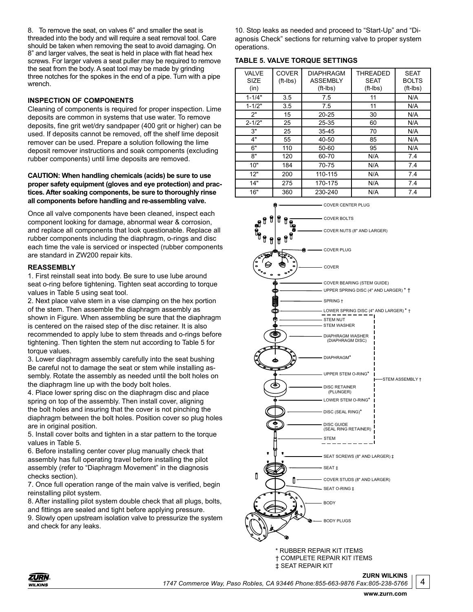8. To remove the seat, on valves 6" and smaller the seat is threaded into the body and will require a seat removal tool. Care should be taken when removing the seat to avoid damaging. On 8" and larger valves, the seat is held in place with flat head hex screws. For larger valves a seat puller may be required to remove the seat from the body. A seat tool may be made by grinding three notches for the spokes in the end of a pipe. Turn with a pipe wrench.

## **INSPECTION OF COMPONENTS**

Cleaning of components is required for proper inspection. Lime deposits are common in systems that use water. To remove deposits, fine grit wet/dry sandpaper (400 grit or higher) can be used. If deposits cannot be removed, off the shelf lime deposit remover can be used. Prepare a solution following the lime deposit remover instructions and soak components (excluding rubber components) until lime deposits are removed.

## **CAUTION: When handling chemicals (acids) be sure to use proper safety equipment (gloves and eye protection) and practices. After soaking components, be sure to thoroughly rinse all components before handling and re-assembling valve.**

Once all valve components have been cleaned, inspect each component looking for damage, abnormal wear & corrosion, and replace all components that look questionable. Replace all rubber components including the diaphragm, o-rings and disc each time the vale is serviced or inspected (rubber components are standard in ZW200 repair kits.

## **REASSEMBLY**

1. First reinstall seat into body. Be sure to use lube around seat o-ring before tightening. Tighten seat according to torque values in Table 5 using seat tool.

2. Next place valve stem in a vise clamping on the hex portion of the stem. Then assemble the diaphragm assembly as shown in Figure. When assembling be sure that the diaphragm is centered on the raised step of the disc retainer. It is also recommended to apply lube to stem threads and o-rings before tightening. Then tighten the stem nut according to Table 5 for torque values.

3. Lower diaphragm assembly carefully into the seat bushing Be careful not to damage the seat or stem while installing assembly. Rotate the assembly as needed until the bolt holes on the diaphragm line up with the body bolt holes.

4. Place lower spring disc on the diaphragm disc and place spring on top of the assembly. Then install cover, aligning the bolt holes and insuring that the cover is not pinching the diaphragm between the bolt holes. Position cover so plug holes are in original position.

5. Install cover bolts and tighten in a star pattern to the torque values in Table 5.

6. Before installing center cover plug manually check that assembly has full operating travel before installing the pilot assembly (refer to "Diaphragm Movement" in the diagnosis checks section).

7. Once full operation range of the main valve is verified, begin reinstalling pilot system.

8. After installing pilot system double check that all plugs, bolts, and fittings are sealed and tight before applying pressure. 9. Slowly open upstream isolation valve to pressurize the system and check for any leaks.

10. Stop leaks as needed and proceed to "Start-Up" and "Diagnosis Check" sections for returning valve to proper system operations.

## **TABLE 5. VALVE TORQUE SETTINGS**

| <b>VALVE</b><br><b>SIZE</b><br>(in) | <b>COVER</b><br>$(ft-lbs)$ | <b>DIAPHRAGM</b><br><b>ASSEMBLY</b><br>$(ft-lbs)$ | THREADED<br><b>SEAT</b><br>(ft-lbs) | <b>SEAT</b><br><b>BOLTS</b><br>$(ft-lbs)$ |
|-------------------------------------|----------------------------|---------------------------------------------------|-------------------------------------|-------------------------------------------|
| $1 - 1/4"$                          | 3.5                        | 7.5                                               | 11                                  | N/A                                       |
| $1 - 1/2"$                          | 3.5                        | 7.5                                               | 11                                  | N/A                                       |
| 2"                                  | 15                         | $20 - 25$                                         | 30                                  | N/A                                       |
| $2 - 1/2"$                          | 25                         | $25 - 35$                                         | 60                                  | N/A                                       |
| 3"                                  | 25                         | $35 - 45$                                         | 70                                  | N/A                                       |
| 4"                                  | 55                         | 40-50                                             | 85                                  | N/A                                       |
| 6"                                  | 110                        | 50-60                                             | 95                                  | N/A                                       |
| 8"                                  | 120                        | 60-70                                             | N/A                                 | 7.4                                       |
| 10"                                 | 184                        | 70-75                                             | N/A                                 | 7.4                                       |
| 12"                                 | 200                        | 110-115                                           | N/A                                 | 7.4                                       |
| 14"                                 | 275                        | 170-175                                           | N/A                                 | 7.4                                       |
| 16"                                 | 360                        | 230-240                                           | N/A                                 | 7.4                                       |



\* RUBBER REPAIR KIT ITEMS † COMPLETE REPAIR KIT ITEMS ‡ SEAT REPAIR KIT

**ZURN WILKINS**

4

ZURN ® **WILKINS** 

*1747 Commerce Way, Paso Robles, CA 93446 Phone:855-663-9876 Fax:805-238-5766*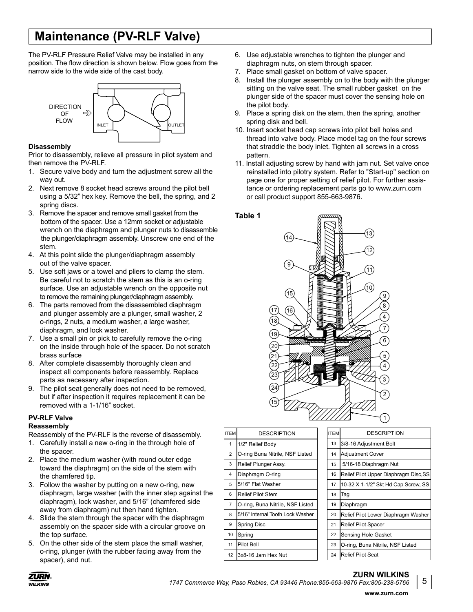# **Maintenance (PV-RLF Valve)**

The PV-RLF Pressure Relief Valve may be installed in any position. The flow direction is shown below. Flow goes from the narrow side to the wide side of the cast body.



## **Disassembly**

Prior to disassembly, relieve all pressure in pilot system and then remove the PV-RLF.

- 1. Secure valve body and turn the adjustment screw all the way out.
- 2. Next remove 8 socket head screws around the pilot bell using a 5/32" hex key. Remove the bell, the spring, and 2 spring discs.
- 3. Remove the spacer and remove small gasket from the bottom of the spacer. Use a 12mm socket or adjustable wrench on the diaphragm and plunger nuts to disassemble the plunger/diaphragm assembly. Unscrew one end of the stem.
- 4. At this point slide the plunger/diaphragm assembly out of the valve spacer.
- 5. Use soft jaws or a towel and pliers to clamp the stem. Be careful not to scratch the stem as this is an o-ring surface. Use an adjustable wrench on the opposite nut to remove the remaining plunger/diaphragm assembly.
- 6. The parts removed from the disassembled diaphragm and plunger assembly are a plunger, small washer, 2 o-rings, 2 nuts, a medium washer, a large washer, diaphragm, and lock washer.
- 7. Use a small pin or pick to carefully remove the o-ring on the inside through hole of the spacer. Do not scratch brass surface
- 8. After complete disassembly thoroughly clean and inspect all components before reassembly. Replace parts as necessary after inspection.
- 9. The pilot seat generally does not need to be removed, but if after inspection it requires replacement it can be removed with a 1-1/16" socket.

## **PV-RLF Valve**

## **Reassembly**

Reassembly of the PV-RLF is the reverse of disassembly.

- 1. Carefully install a new o-ring in the through hole of the spacer.
- 2. Place the medium washer (with round outer edge toward the diaphragm) on the side of the stem with the chamfered tip.
- 3. Follow the washer by putting on a new o-ring, new diaphragm, large washer (with the inner step against the diaphragm), lock washer, and 5/16" (chamfered side away from diaphragm) nut then hand tighten.
- 4. Slide the stem through the spacer with the diaphragm assembly on the spacer side with a circular groove on the top surface.
- 5. On the other side of the stem place the small washer, o-ring, plunger (with the rubber facing away from the spacer), and nut.
- 6. Use adjustable wrenches to tighten the plunger and diaphragm nuts, on stem through spacer.
- 7. Place small gasket on bottom of valve spacer.
- 8. Install the plunger assembly on to the body with the plunger sitting on the valve seat. The small rubber gasket on the plunger side of the spacer must cover the sensing hole on the pilot body.
- 9. Place a spring disk on the stem, then the spring, another spring disk and bell.
- 10. Insert socket head cap screws into pilot bell holes and thread into valve body. Place model tag on the four screws that straddle the body inlet. Tighten all screws in a cross pattern.
- 11. Install adjusting screw by hand with jam nut. Set valve once reinstalled into pilotry system. Refer to "Start-up" section on page one for proper setting of relief pilot. For further assis tance or ordering replacement parts go to www.zurn.com or call product support 855-663-9876.

**Table 1**



| <b>ITEM</b>    | <b>DESCRIPTION</b>               | <b>ITEM</b> | <b>DESCRIPTION</b>                    |
|----------------|----------------------------------|-------------|---------------------------------------|
| 1              | 1/2" Relief Body                 | 13          | 3/8-16 Adjustment Bolt                |
| $\overline{2}$ | O-ring Buna Nitrile, NSF Listed  | 14          | <b>Adjustment Cover</b>               |
| 3              | Relief Plunger Assy.             | 15          | 5/16-18 Diaphragm Nut                 |
| 4              | Diaphragm O-ring                 | 16          | Relief Pilot Upper Diaphragm Disc, SS |
| 5              | 5/16" Flat Washer                | 17          | 10-32 X 1-1/2" Skt Hd Cap Screw, SS   |
| 6              | <b>Relief Pilot Stem</b>         | 18          | Tag                                   |
| $\overline{7}$ | O-ring, Buna Nitrile, NSF Listed | 19          | Diaphragm                             |
| 8              | 5/16" Internal Tooth Lock Washer | 20          | Relief Pilot Lower Diaphragm Washer   |
| 9              | Spring Disc                      | 21          | Relief Pilot Spacer                   |
| 10             | Spring                           | 22          | Sensing Hole Gasket                   |
| 11             | Pilot Bell                       | 23          | O-ring, Buna Nitrile, NSF Listed      |
| 12             | 3x8-16 Jam Hex Nut               | 24          | <b>Relief Pilot Seat</b>              |
|                |                                  |             |                                       |